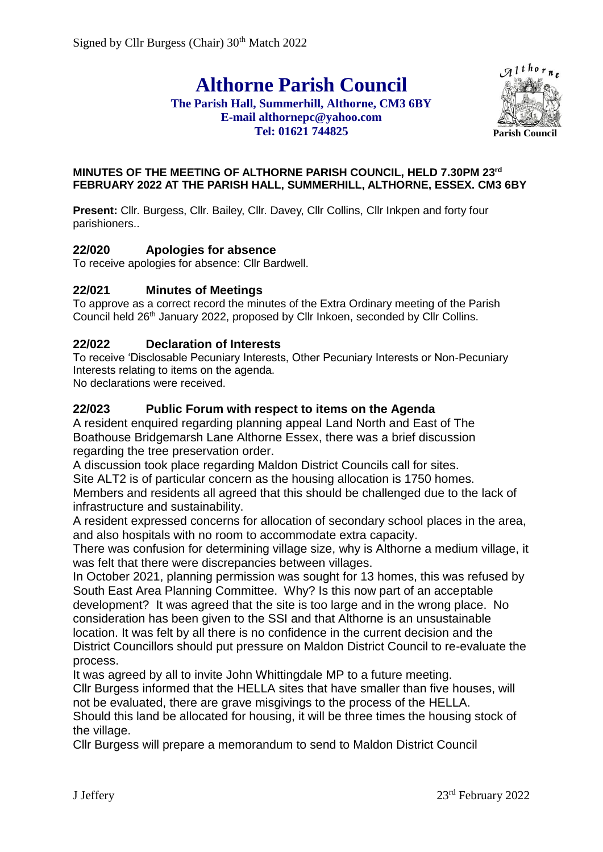# **Althorne Parish Council**

## **The Parish Hall, Summerhill, Althorne, CM3 6BY E-mail althornepc@yahoo.com Tel: 01621 744825**



#### **MINUTES OF THE MEETING OF ALTHORNE PARISH COUNCIL, HELD 7.30PM 23rd FEBRUARY 2022 AT THE PARISH HALL, SUMMERHILL, ALTHORNE, ESSEX. CM3 6BY**

Present: Cllr. Burgess, Cllr. Bailey, Cllr. Davey, Cllr Collins, Cllr Inkpen and forty four parishioners..

## **22/020 Apologies for absence**

To receive apologies for absence: Cllr Bardwell.

## **22/021 Minutes of Meetings**

To approve as a correct record the minutes of the Extra Ordinary meeting of the Parish Council held 26<sup>th</sup> January 2022, proposed by Cllr Inkoen, seconded by Cllr Collins.

## **22/022 Declaration of Interests**

To receive 'Disclosable Pecuniary Interests, Other Pecuniary Interests or Non-Pecuniary Interests relating to items on the agenda.

No declarations were received.

## **22/023 Public Forum with respect to items on the Agenda**

A resident enquired regarding planning appeal Land North and East of The Boathouse Bridgemarsh Lane Althorne Essex, there was a brief discussion regarding the tree preservation order.

A discussion took place regarding Maldon District Councils call for sites.

Site ALT2 is of particular concern as the housing allocation is 1750 homes.

Members and residents all agreed that this should be challenged due to the lack of infrastructure and sustainability.

A resident expressed concerns for allocation of secondary school places in the area, and also hospitals with no room to accommodate extra capacity.

There was confusion for determining village size, why is Althorne a medium village, it was felt that there were discrepancies between villages.

In October 2021, planning permission was sought for 13 homes, this was refused by South East Area Planning Committee. Why? Is this now part of an acceptable development? It was agreed that the site is too large and in the wrong place. No consideration has been given to the SSI and that Althorne is an unsustainable location. It was felt by all there is no confidence in the current decision and the District Councillors should put pressure on Maldon District Council to re-evaluate the process.

It was agreed by all to invite John Whittingdale MP to a future meeting. Cllr Burgess informed that the HELLA sites that have smaller than five houses, will not be evaluated, there are grave misgivings to the process of the HELLA. Should this land be allocated for housing, it will be three times the housing stock of the village.

Cllr Burgess will prepare a memorandum to send to Maldon District Council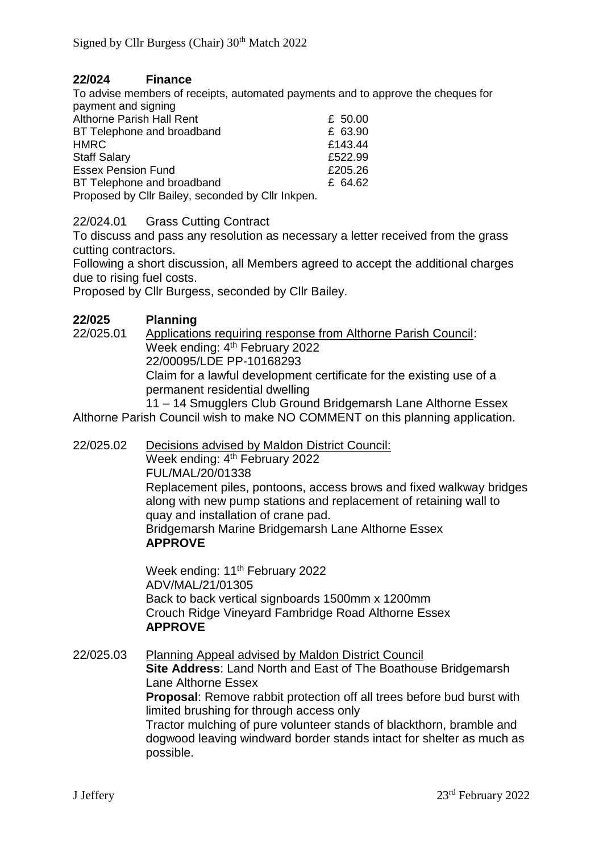## **22/024 Finance**

To advise members of receipts, automated payments and to approve the cheques for payment and signing

| $P^{\alpha}$ , $P^{\beta}$ , $P^{\beta}$ , $P^{\beta}$ , $P^{\beta}$ , $P^{\beta}$ |         |
|------------------------------------------------------------------------------------|---------|
| Althorne Parish Hall Rent                                                          | £ 50.00 |
| BT Telephone and broadband                                                         | £ 63.90 |
| <b>HMRC</b>                                                                        | £143.44 |
| <b>Staff Salary</b>                                                                | £522.99 |
| <b>Essex Pension Fund</b>                                                          | £205.26 |
| BT Telephone and broadband                                                         | £ 64.62 |
| Dropogood by Cllr Doiley, accorded by Cllr Inknon                                  |         |

Proposed by Cllr Bailey, seconded by Cllr Inkpen.

## 22/024.01 Grass Cutting Contract

To discuss and pass any resolution as necessary a letter received from the grass cutting contractors.

Following a short discussion, all Members agreed to accept the additional charges due to rising fuel costs.

Proposed by Cllr Burgess, seconded by Cllr Bailey.

## **22/025 Planning**

22/025.01 Applications requiring response from Althorne Parish Council: Week ending: 4<sup>th</sup> February 2022 22/00095/LDE PP-10168293 Claim for a lawful development certificate for the existing use of a permanent residential dwelling

11 – 14 Smugglers Club Ground Bridgemarsh Lane Althorne Essex Althorne Parish Council wish to make NO COMMENT on this planning application.

22/025.02 Decisions advised by Maldon District Council: Week ending: 4<sup>th</sup> February 2022 FUL/MAL/20/01338 Replacement piles, pontoons, access brows and fixed walkway bridges along with new pump stations and replacement of retaining wall to quay and installation of crane pad. Bridgemarsh Marine Bridgemarsh Lane Althorne Essex **APPROVE**

Week ending: 11<sup>th</sup> February 2022 ADV/MAL/21/01305 Back to back vertical signboards 1500mm x 1200mm Crouch Ridge Vineyard Fambridge Road Althorne Essex **APPROVE**

22/025.03 Planning Appeal advised by Maldon District Council **Site Address**: Land North and East of The Boathouse Bridgemarsh Lane Althorne Essex **Proposal**: Remove rabbit protection off all trees before bud burst with limited brushing for through access only Tractor mulching of pure volunteer stands of blackthorn, bramble and dogwood leaving windward border stands intact for shelter as much as possible.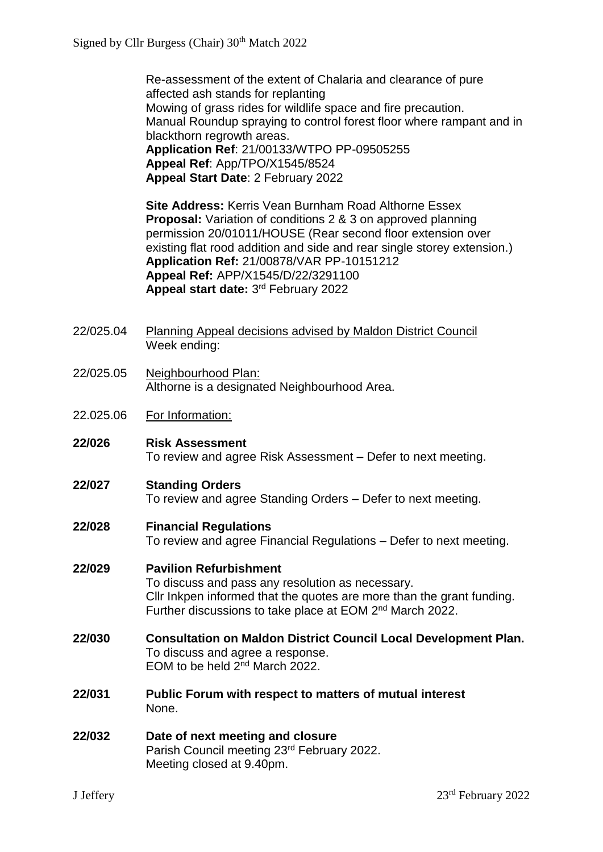Re-assessment of the extent of Chalaria and clearance of pure affected ash stands for replanting Mowing of grass rides for wildlife space and fire precaution. Manual Roundup spraying to control forest floor where rampant and in blackthorn regrowth areas. **Application Ref**: 21/00133/WTPO PP-09505255 **Appeal Ref**: App/TPO/X1545/8524 **Appeal Start Date**: 2 February 2022

**Site Address:** Kerris Vean Burnham Road Althorne Essex **Proposal:** Variation of conditions 2 & 3 on approved planning permission 20/01011/HOUSE (Rear second floor extension over existing flat rood addition and side and rear single storey extension.) **Application Ref:** 21/00878/VAR PP-10151212 **Appeal Ref:** APP/X1545/D/22/3291100 **Appeal start date:** 3 rd February 2022

- 22/025.04 Planning Appeal decisions advised by Maldon District Council Week ending:
- 22/025.05 Neighbourhood Plan: Althorne is a designated Neighbourhood Area.
- 22.025.06 For Information:
- **22/026 Risk Assessment** To review and agree Risk Assessment – Defer to next meeting.

## **22/027 Standing Orders**

To review and agree Standing Orders – Defer to next meeting.

## **22/028 Financial Regulations**

To review and agree Financial Regulations – Defer to next meeting.

## **22/029 Pavilion Refurbishment**

To discuss and pass any resolution as necessary. Cllr Inkpen informed that the quotes are more than the grant funding. Further discussions to take place at EOM 2<sup>nd</sup> March 2022.

### **22/030 Consultation on Maldon District Council Local Development Plan.** To discuss and agree a response. EOM to be held 2nd March 2022.

- **22/031 Public Forum with respect to matters of mutual interest** None.
- **22/032 Date of next meeting and closure** Parish Council meeting 23rd February 2022. Meeting closed at 9.40pm.